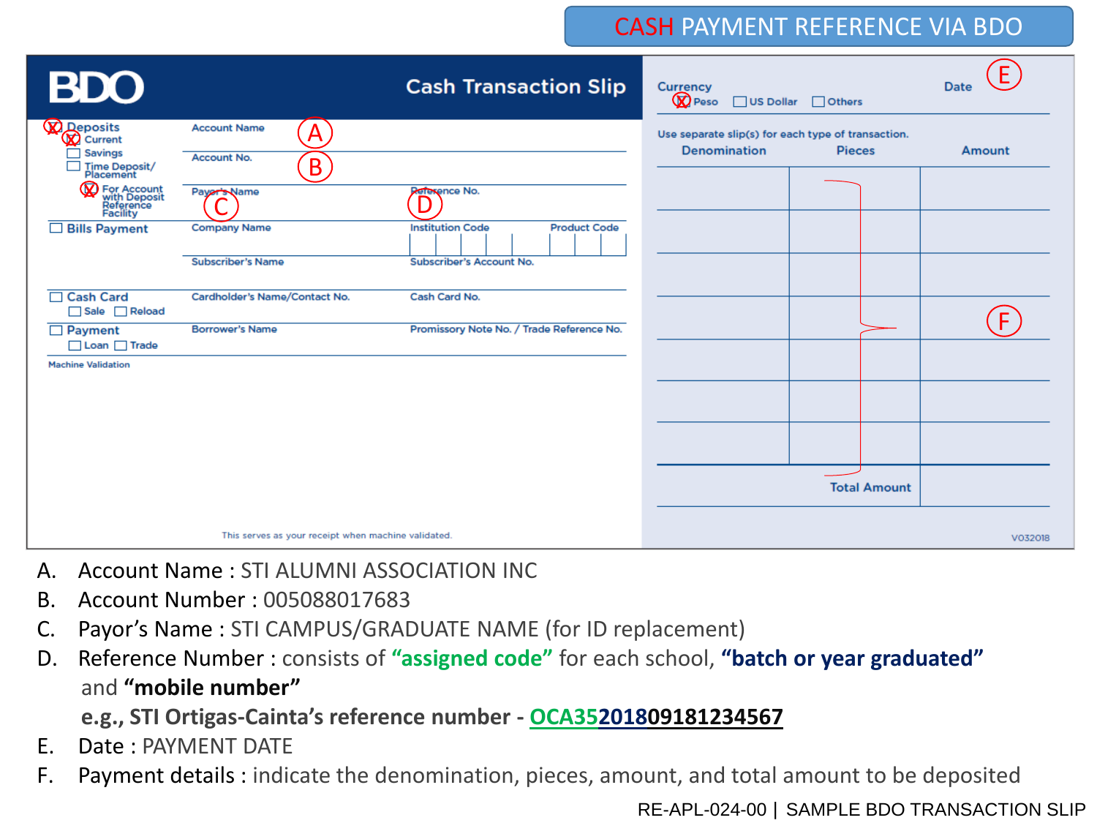### CASH PAYMENT REFERENCE VIA BDO

| <b>BDO</b>                                                                        |                                                                 | <b>Cash Transaction Slip</b>                                                                | <b>Currency</b><br><b>Q</b> Peso<br>$\Box$ US Dollar<br>$\Box$ Others                      | E<br><b>Date</b> |
|-----------------------------------------------------------------------------------|-----------------------------------------------------------------|---------------------------------------------------------------------------------------------|--------------------------------------------------------------------------------------------|------------------|
| $\Omega$ Deposits<br>$\bigtimes$ Current<br>Savings<br>Time Deposit/<br>Placement | <b>Account Name</b><br>A<br>Account No.<br>B                    |                                                                                             | Use separate slip(s) for each type of transaction.<br><b>Denomination</b><br><b>Pieces</b> | <b>Amount</b>    |
| For Account<br>with Deposit<br>Reference<br>Facility<br>$\Box$ Bills Payment      | Payer's Name<br><b>Company Name</b><br><b>Subscriber's Name</b> | Reference No.<br><b>Product Code</b><br><b>Institution Code</b><br>Subscriber's Account No. |                                                                                            |                  |
| □ Cash Card<br>Sale Reload<br>$\Box$ Payment                                      | Cardholder's Name/Contact No.<br><b>Borrower's Name</b>         | Cash Card No.<br>Promissory Note No. / Trade Reference No.                                  |                                                                                            | F                |
| $\Box$ Loan $\Box$ Trade<br><b>Machine Validation</b>                             |                                                                 |                                                                                             |                                                                                            |                  |
|                                                                                   |                                                                 |                                                                                             |                                                                                            |                  |
|                                                                                   | This serves as your receipt when machine validated.             |                                                                                             | <b>Total Amount</b>                                                                        | V032018          |

- A. Account Name : STI ALUMNI ASSOCIATION INC
- B. Account Number : 005088017683
- C. Payor's Name : STI CAMPUS/GRADUATE NAME (for ID replacement)
- D. Reference Number : consists of **"assigned code"** for each school, **"batch or year graduated"** and **"mobile number"**

**e.g., STI Ortigas-Cainta's reference number - OCA35201809181234567**

- E. Date : PAYMENT DATE
- F. Payment details : indicate the denomination, pieces, amount, and total amount to be deposited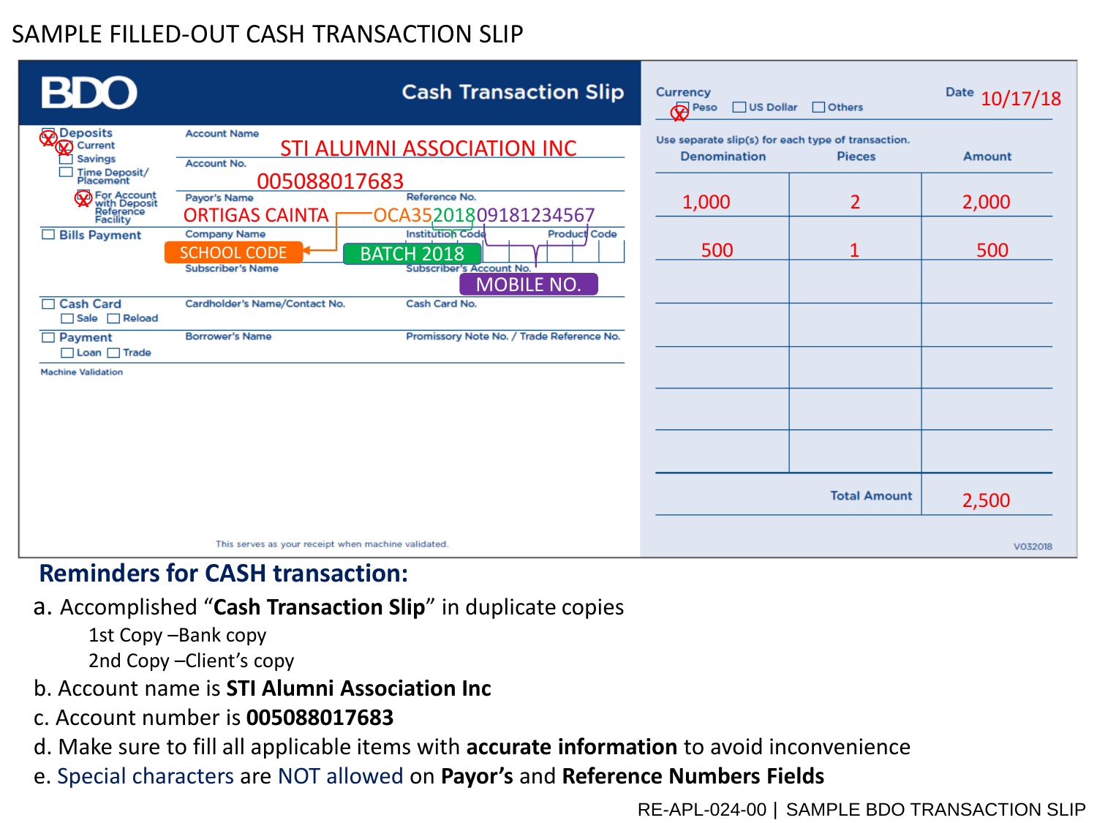# SAMPLE FILLED-OUT CASH TRANSACTION SLIP

| <b>BDO</b>                                                                 | <b>Cash Transaction Slip</b>                                                                                                                                                                         | <b>Currency</b><br>$\Box$ Others<br><b>Peso</b><br>$\Box$ US Dollar                        | Date 10/17/18 |
|----------------------------------------------------------------------------|------------------------------------------------------------------------------------------------------------------------------------------------------------------------------------------------------|--------------------------------------------------------------------------------------------|---------------|
| <b>Deposits</b><br>Current<br><b>Savings</b><br>Time Deposit/<br>Placement | <b>Account Name</b><br><b>STI ALUMNI ASSOCIATION INC</b><br>Account No.                                                                                                                              | Use separate slip(s) for each type of transaction.<br><b>Denomination</b><br><b>Pieces</b> | Amount        |
| <b>W</b> For Account<br>with Deposit<br>Reference<br>Facility              | 005088017683<br>Reference No.<br>Payor's Name<br>OCA35201809181234567<br><b>ORTIGAS CAINTA</b>                                                                                                       | $\overline{2}$<br>1,000                                                                    | 2,000         |
| $\Box$ Bills Payment                                                       | <b>Institution Code</b><br><b>Company Name</b><br><b>Product Code</b><br><b>SCHOOL CODE</b><br><b>BATCH 2018</b><br><b>Subscriber's Account No.</b><br><b>Subscriber's Name</b><br><b>MOBILE NO.</b> | 500                                                                                        | 500           |
| □ Cash Card<br>Sale Reload                                                 | Cardholder's Name/Contact No.<br>Cash Card No.                                                                                                                                                       |                                                                                            |               |
| $\Box$ Payment<br>$\Box$ Loan $\Box$ Trade                                 | <b>Borrower's Name</b><br>Promissory Note No. / Trade Reference No.                                                                                                                                  |                                                                                            |               |
| <b>Machine Validation</b>                                                  |                                                                                                                                                                                                      |                                                                                            |               |
|                                                                            |                                                                                                                                                                                                      |                                                                                            |               |
|                                                                            |                                                                                                                                                                                                      |                                                                                            |               |
|                                                                            |                                                                                                                                                                                                      | <b>Total Amount</b>                                                                        | 2,500         |
|                                                                            | This serves as your receipt when machine validated.                                                                                                                                                  |                                                                                            | V032018       |

### **Reminders for CASH transaction:**

- a. Accomplished "**Cash Transaction Slip**" in duplicate copies
	- 1st Copy –Bank copy 2nd Copy –Client's copy
- b. Account name is **STI Alumni Association Inc**
- c. Account number is **005088017683**
- d. Make sure to fill all applicable items with **accurate information** to avoid inconvenience
- e. Special characters are NOT allowed on **Payor's** and **Reference Numbers Fields**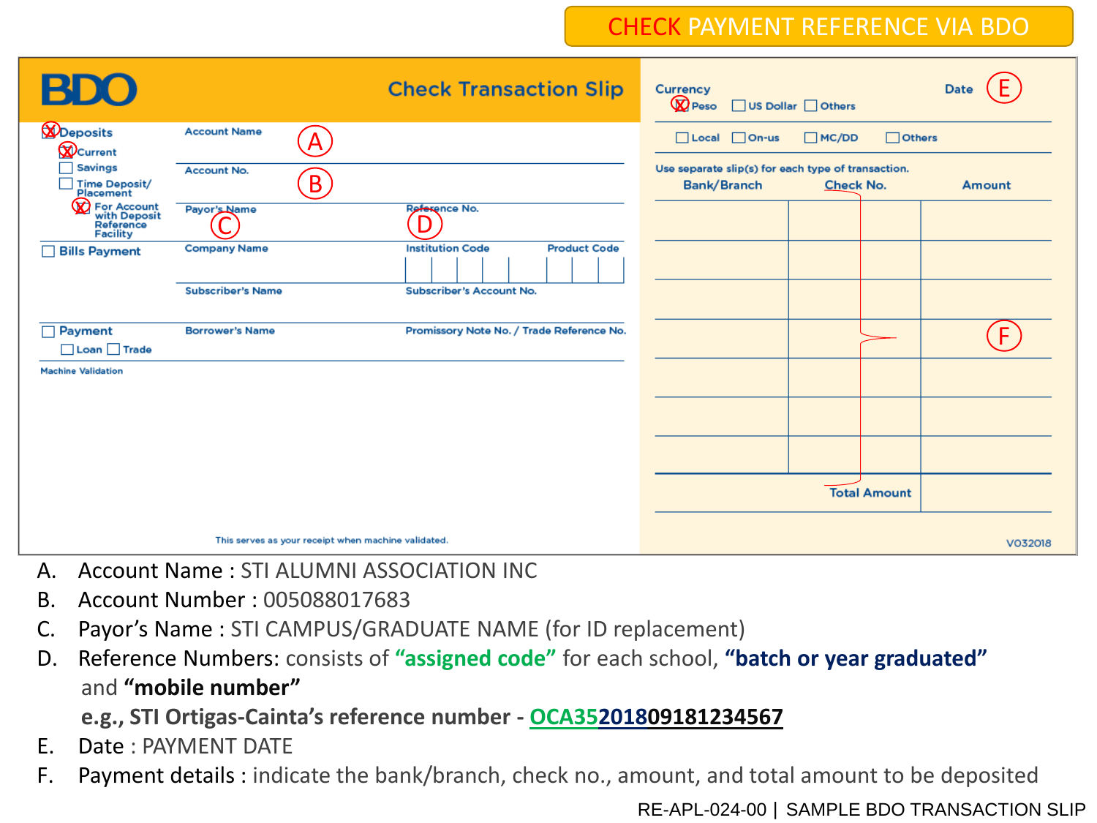### CHECK PAYMENT REFERENCE VIA BDO

| BD                                                                                        |                                                     | <b>Check Transaction Slip</b>                  | <b>Currency</b><br><b>Q</b> Peso<br>US Dollar Others              |                                   | Date    |
|-------------------------------------------------------------------------------------------|-----------------------------------------------------|------------------------------------------------|-------------------------------------------------------------------|-----------------------------------|---------|
| <b>D</b> eposits<br><b>W</b> Current<br>$\sqsupset$ Savings<br>Time Deposit/<br>Placement | <b>Account Name</b><br>A                            |                                                | $\Box$ Local $\Box$ On-us                                         | $\Box$ Others<br>M <sub>CDD</sub> |         |
|                                                                                           | <b>Account No.</b><br>$\mathsf B$                   |                                                | Use separate slip(s) for each type of transaction.<br>Bank/Branch | <b>Check No.</b>                  | Amount  |
| <b>D</b> For Account<br>with Deposit<br>Reference<br>Facility                             | Payor's Name                                        | Reference No.                                  |                                                                   |                                   |         |
| $\Box$ Bills Payment                                                                      | <b>Company Name</b>                                 | <b>Institution Code</b><br><b>Product Code</b> |                                                                   |                                   |         |
|                                                                                           | <b>Subscriber's Name</b>                            | <b>Subscriber's Account No.</b>                |                                                                   |                                   |         |
| $\Box$ Payment<br>Loan Trade                                                              | <b>Borrower's Name</b>                              | Promissory Note No. / Trade Reference No.      |                                                                   |                                   | F.      |
| <b>Machine Validation</b>                                                                 |                                                     |                                                |                                                                   |                                   |         |
|                                                                                           |                                                     |                                                |                                                                   |                                   |         |
|                                                                                           |                                                     |                                                |                                                                   |                                   |         |
|                                                                                           |                                                     |                                                |                                                                   | <b>Total Amount</b>               |         |
|                                                                                           | This serves as your receipt when machine validated. |                                                |                                                                   |                                   | V032018 |

- A. Account Name : STI ALUMNI ASSOCIATION INC
- B. Account Number : 005088017683
- C. Payor's Name : STI CAMPUS/GRADUATE NAME (for ID replacement)
- D. Reference Numbers: consists of **"assigned code"** for each school, **"batch or year graduated"** and **"mobile number"**

**e.g., STI Ortigas-Cainta's reference number - OCA35201809181234567**

- E. Date : PAYMENT DATE
- F. Payment details : indicate the bank/branch, check no., amount, and total amount to be deposited